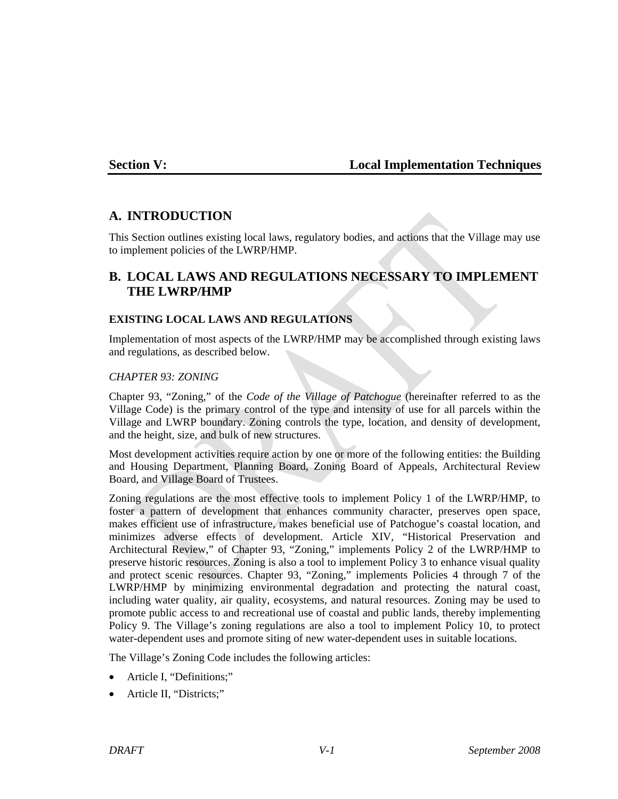## **Section V: Local Implementation Techniques**

## **A. INTRODUCTION**

This Section outlines existing local laws, regulatory bodies, and actions that the Village may use to implement policies of the LWRP/HMP.

# **B. LOCAL LAWS AND REGULATIONS NECESSARY TO IMPLEMENT THE LWRP/HMP**

### **EXISTING LOCAL LAWS AND REGULATIONS**

Implementation of most aspects of the LWRP/HMP may be accomplished through existing laws and regulations, as described below.

#### *CHAPTER 93: ZONING*

Chapter 93, "Zoning," of the *Code of the Village of Patchogue* (hereinafter referred to as the Village Code) is the primary control of the type and intensity of use for all parcels within the Village and LWRP boundary. Zoning controls the type, location, and density of development, and the height, size, and bulk of new structures.

Most development activities require action by one or more of the following entities: the Building and Housing Department, Planning Board, Zoning Board of Appeals, Architectural Review Board, and Village Board of Trustees.

Zoning regulations are the most effective tools to implement Policy 1 of the LWRP/HMP, to foster a pattern of development that enhances community character, preserves open space, makes efficient use of infrastructure, makes beneficial use of Patchogue's coastal location, and minimizes adverse effects of development. Article XIV, "Historical Preservation and Architectural Review," of Chapter 93, "Zoning," implements Policy 2 of the LWRP/HMP to preserve historic resources. Zoning is also a tool to implement Policy 3 to enhance visual quality and protect scenic resources. Chapter 93, "Zoning," implements Policies 4 through 7 of the LWRP/HMP by minimizing environmental degradation and protecting the natural coast, including water quality, air quality, ecosystems, and natural resources. Zoning may be used to promote public access to and recreational use of coastal and public lands, thereby implementing Policy 9. The Village's zoning regulations are also a tool to implement Policy 10, to protect water-dependent uses and promote siting of new water-dependent uses in suitable locations.

The Village's Zoning Code includes the following articles:

- Article I, "Definitions;"
- Article II, "Districts;"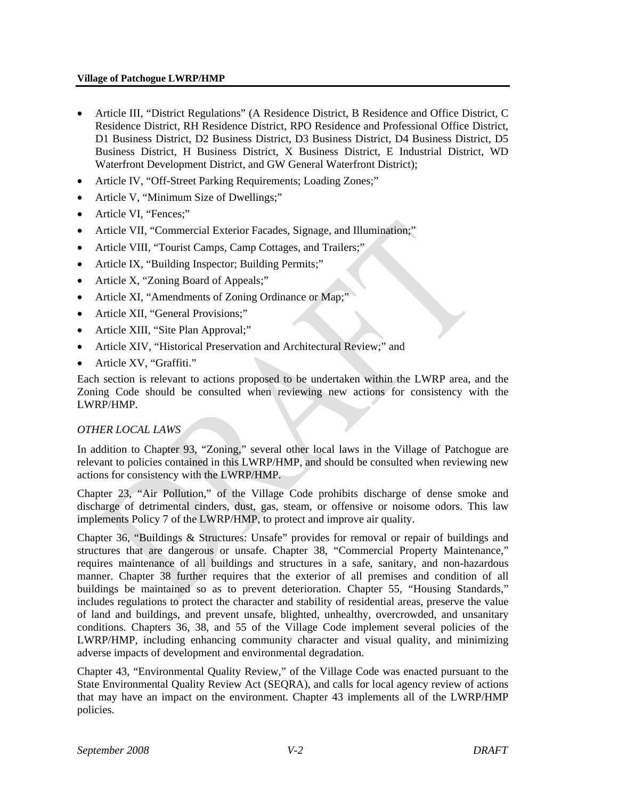#### **Village of Patchogue LWRP/HMP**

- Article III, "District Regulations" (A Residence District, B Residence and Office District, C Residence District, RH Residence District, RPO Residence and Professional Office District, D1 Business District, D2 Business District, D3 Business District, D4 Business District, D5 Business District, H Business District, X Business District, E Industrial District, WD Waterfront Development District, and GW General Waterfront District);
- Article IV, "Off-Street Parking Requirements; Loading Zones;"
- Article V, "Minimum Size of Dwellings;"
- Article VI, "Fences;"
- Article VII, "Commercial Exterior Facades, Signage, and Illumination;"
- Article VIII, "Tourist Camps, Camp Cottages, and Trailers;"
- Article IX, "Building Inspector; Building Permits;"
- Article X, "Zoning Board of Appeals;"
- Article XI, "Amendments of Zoning Ordinance or Map;"
- Article XII, "General Provisions;"
- Article XIII, "Site Plan Approval;"
- Article XIV, "Historical Preservation and Architectural Review;" and
- Article XV, "Graffiti."

Each section is relevant to actions proposed to be undertaken within the LWRP area, and the Zoning Code should be consulted when reviewing new actions for consistency with the LWRP/HMP.

#### *OTHER LOCAL LAWS*

In addition to Chapter 93, "Zoning," several other local laws in the Village of Patchogue are relevant to policies contained in this LWRP/HMP, and should be consulted when reviewing new actions for consistency with the LWRP/HMP.

Chapter 23, "Air Pollution," of the Village Code prohibits discharge of dense smoke and discharge of detrimental cinders, dust, gas, steam, or offensive or noisome odors. This law implements Policy 7 of the LWRP/HMP, to protect and improve air quality.

Chapter 36, "Buildings & Structures: Unsafe" provides for removal or repair of buildings and structures that are dangerous or unsafe. Chapter 38, "Commercial Property Maintenance," requires maintenance of all buildings and structures in a safe, sanitary, and non-hazardous manner. Chapter 38 further requires that the exterior of all premises and condition of all buildings be maintained so as to prevent deterioration. Chapter 55, "Housing Standards," includes regulations to protect the character and stability of residential areas, preserve the value of land and buildings, and prevent unsafe, blighted, unhealthy, overcrowded, and unsanitary conditions. Chapters 36, 38, and 55 of the Village Code implement several policies of the LWRP/HMP, including enhancing community character and visual quality, and minimizing adverse impacts of development and environmental degradation.

Chapter 43, "Environmental Quality Review," of the Village Code was enacted pursuant to the State Environmental Quality Review Act (SEQRA), and calls for local agency review of actions that may have an impact on the environment. Chapter 43 implements all of the LWRP/HMP policies.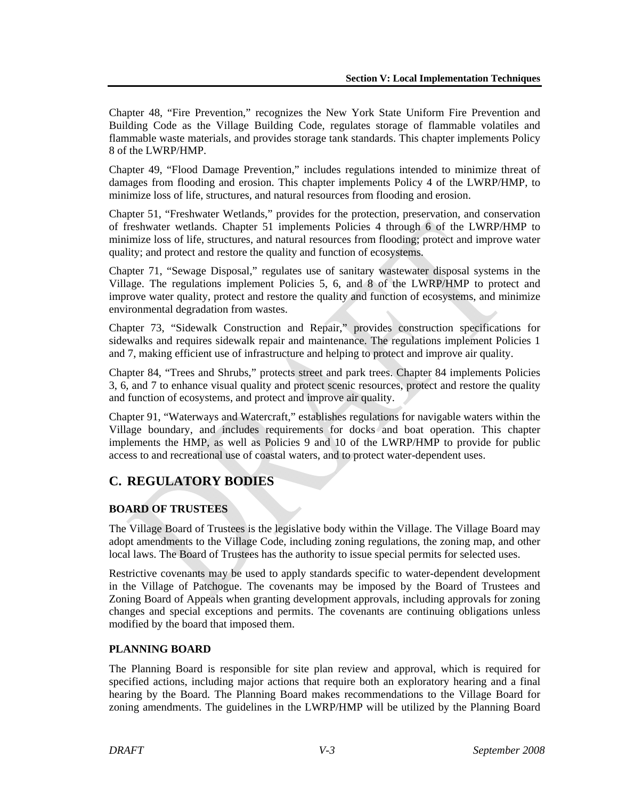Chapter 48, "Fire Prevention," recognizes the New York State Uniform Fire Prevention and Building Code as the Village Building Code, regulates storage of flammable volatiles and flammable waste materials, and provides storage tank standards. This chapter implements Policy 8 of the LWRP/HMP.

Chapter 49, "Flood Damage Prevention," includes regulations intended to minimize threat of damages from flooding and erosion. This chapter implements Policy 4 of the LWRP/HMP, to minimize loss of life, structures, and natural resources from flooding and erosion.

Chapter 51, "Freshwater Wetlands," provides for the protection, preservation, and conservation of freshwater wetlands. Chapter 51 implements Policies 4 through 6 of the LWRP/HMP to minimize loss of life, structures, and natural resources from flooding; protect and improve water quality; and protect and restore the quality and function of ecosystems.

Chapter 71, "Sewage Disposal," regulates use of sanitary wastewater disposal systems in the Village. The regulations implement Policies 5, 6, and 8 of the LWRP/HMP to protect and improve water quality, protect and restore the quality and function of ecosystems, and minimize environmental degradation from wastes.

Chapter 73, "Sidewalk Construction and Repair," provides construction specifications for sidewalks and requires sidewalk repair and maintenance. The regulations implement Policies 1 and 7, making efficient use of infrastructure and helping to protect and improve air quality.

Chapter 84, "Trees and Shrubs," protects street and park trees. Chapter 84 implements Policies 3, 6, and 7 to enhance visual quality and protect scenic resources, protect and restore the quality and function of ecosystems, and protect and improve air quality.

Chapter 91, "Waterways and Watercraft," establishes regulations for navigable waters within the Village boundary, and includes requirements for docks and boat operation. This chapter implements the HMP, as well as Policies 9 and 10 of the LWRP/HMP to provide for public access to and recreational use of coastal waters, and to protect water-dependent uses.

# **C. REGULATORY BODIES**

### **BOARD OF TRUSTEES**

The Village Board of Trustees is the legislative body within the Village. The Village Board may adopt amendments to the Village Code, including zoning regulations, the zoning map, and other local laws. The Board of Trustees has the authority to issue special permits for selected uses.

Restrictive covenants may be used to apply standards specific to water-dependent development in the Village of Patchogue. The covenants may be imposed by the Board of Trustees and Zoning Board of Appeals when granting development approvals, including approvals for zoning changes and special exceptions and permits. The covenants are continuing obligations unless modified by the board that imposed them.

### **PLANNING BOARD**

The Planning Board is responsible for site plan review and approval, which is required for specified actions, including major actions that require both an exploratory hearing and a final hearing by the Board. The Planning Board makes recommendations to the Village Board for zoning amendments. The guidelines in the LWRP/HMP will be utilized by the Planning Board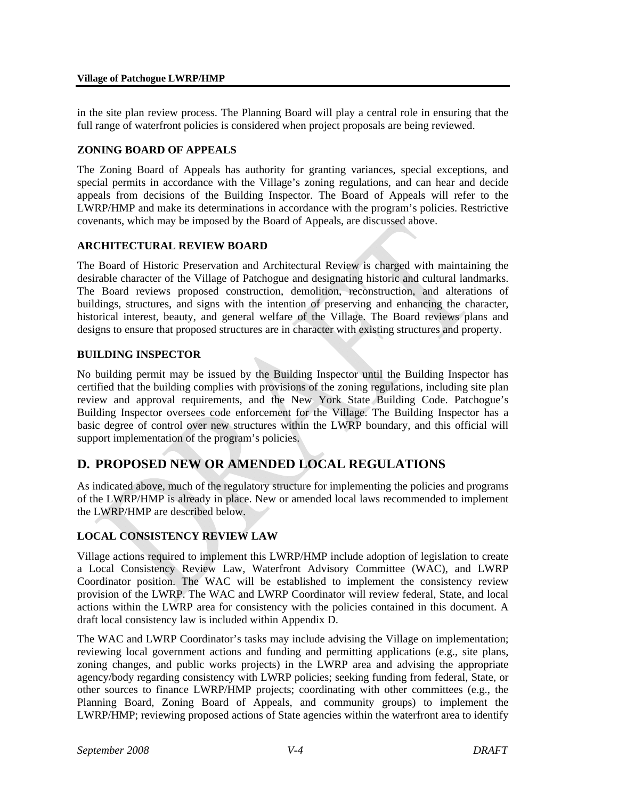in the site plan review process. The Planning Board will play a central role in ensuring that the full range of waterfront policies is considered when project proposals are being reviewed.

## **ZONING BOARD OF APPEALS**

The Zoning Board of Appeals has authority for granting variances, special exceptions, and special permits in accordance with the Village's zoning regulations, and can hear and decide appeals from decisions of the Building Inspector. The Board of Appeals will refer to the LWRP/HMP and make its determinations in accordance with the program's policies. Restrictive covenants, which may be imposed by the Board of Appeals, are discussed above.

### **ARCHITECTURAL REVIEW BOARD**

The Board of Historic Preservation and Architectural Review is charged with maintaining the desirable character of the Village of Patchogue and designating historic and cultural landmarks. The Board reviews proposed construction, demolition, reconstruction, and alterations of buildings, structures, and signs with the intention of preserving and enhancing the character, historical interest, beauty, and general welfare of the Village. The Board reviews plans and designs to ensure that proposed structures are in character with existing structures and property.

#### **BUILDING INSPECTOR**

No building permit may be issued by the Building Inspector until the Building Inspector has certified that the building complies with provisions of the zoning regulations, including site plan review and approval requirements, and the New York State Building Code. Patchogue's Building Inspector oversees code enforcement for the Village. The Building Inspector has a basic degree of control over new structures within the LWRP boundary, and this official will support implementation of the program's policies.

# **D. PROPOSED NEW OR AMENDED LOCAL REGULATIONS**

As indicated above, much of the regulatory structure for implementing the policies and programs of the LWRP/HMP is already in place. New or amended local laws recommended to implement the LWRP/HMP are described below.

### **LOCAL CONSISTENCY REVIEW LAW**

Village actions required to implement this LWRP/HMP include adoption of legislation to create a Local Consistency Review Law, Waterfront Advisory Committee (WAC), and LWRP Coordinator position. The WAC will be established to implement the consistency review provision of the LWRP. The WAC and LWRP Coordinator will review federal, State, and local actions within the LWRP area for consistency with the policies contained in this document. A draft local consistency law is included within Appendix D.

The WAC and LWRP Coordinator's tasks may include advising the Village on implementation; reviewing local government actions and funding and permitting applications (e.g., site plans, zoning changes, and public works projects) in the LWRP area and advising the appropriate agency/body regarding consistency with LWRP policies; seeking funding from federal, State, or other sources to finance LWRP/HMP projects; coordinating with other committees (e.g., the Planning Board, Zoning Board of Appeals, and community groups) to implement the LWRP/HMP; reviewing proposed actions of State agencies within the waterfront area to identify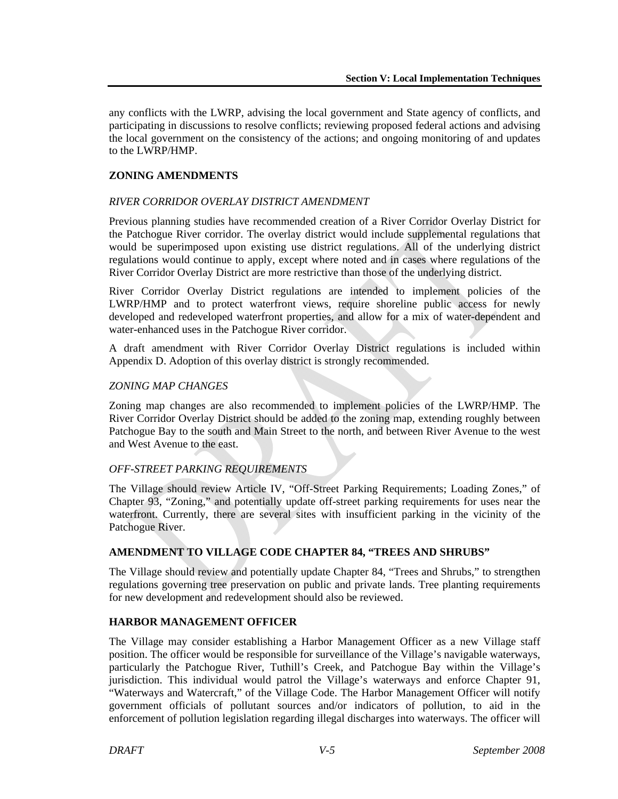any conflicts with the LWRP, advising the local government and State agency of conflicts, and participating in discussions to resolve conflicts; reviewing proposed federal actions and advising the local government on the consistency of the actions; and ongoing monitoring of and updates to the LWRP/HMP.

## **ZONING AMENDMENTS**

#### *RIVER CORRIDOR OVERLAY DISTRICT AMENDMENT*

Previous planning studies have recommended creation of a River Corridor Overlay District for the Patchogue River corridor. The overlay district would include supplemental regulations that would be superimposed upon existing use district regulations. All of the underlying district regulations would continue to apply, except where noted and in cases where regulations of the River Corridor Overlay District are more restrictive than those of the underlying district.

River Corridor Overlay District regulations are intended to implement policies of the LWRP/HMP and to protect waterfront views, require shoreline public access for newly developed and redeveloped waterfront properties, and allow for a mix of water-dependent and water-enhanced uses in the Patchogue River corridor.

A draft amendment with River Corridor Overlay District regulations is included within Appendix D. Adoption of this overlay district is strongly recommended.

#### *ZONING MAP CHANGES*

Zoning map changes are also recommended to implement policies of the LWRP/HMP. The River Corridor Overlay District should be added to the zoning map, extending roughly between Patchogue Bay to the south and Main Street to the north, and between River Avenue to the west and West Avenue to the east.

### *OFF-STREET PARKING REQUIREMENTS*

The Village should review Article IV, "Off-Street Parking Requirements; Loading Zones," of Chapter 93, "Zoning," and potentially update off-street parking requirements for uses near the waterfront. Currently, there are several sites with insufficient parking in the vicinity of the Patchogue River.

### **AMENDMENT TO VILLAGE CODE CHAPTER 84, "TREES AND SHRUBS"**

The Village should review and potentially update Chapter 84, "Trees and Shrubs," to strengthen regulations governing tree preservation on public and private lands. Tree planting requirements for new development and redevelopment should also be reviewed.

### **HARBOR MANAGEMENT OFFICER**

The Village may consider establishing a Harbor Management Officer as a new Village staff position. The officer would be responsible for surveillance of the Village's navigable waterways, particularly the Patchogue River, Tuthill's Creek, and Patchogue Bay within the Village's jurisdiction. This individual would patrol the Village's waterways and enforce Chapter 91, "Waterways and Watercraft," of the Village Code. The Harbor Management Officer will notify government officials of pollutant sources and/or indicators of pollution, to aid in the enforcement of pollution legislation regarding illegal discharges into waterways. The officer will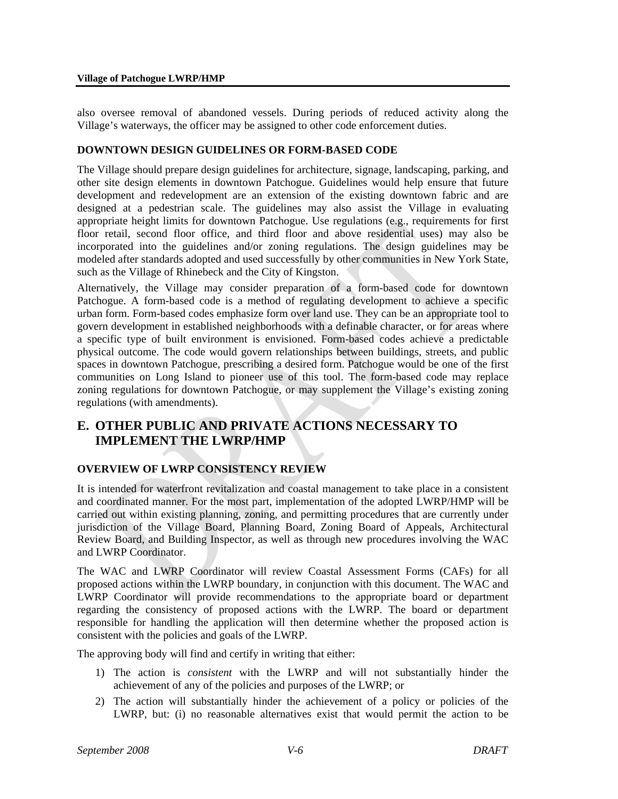also oversee removal of abandoned vessels. During periods of reduced activity along the Village's waterways, the officer may be assigned to other code enforcement duties.

#### **DOWNTOWN DESIGN GUIDELINES OR FORM-BASED CODE**

The Village should prepare design guidelines for architecture, signage, landscaping, parking, and other site design elements in downtown Patchogue. Guidelines would help ensure that future development and redevelopment are an extension of the existing downtown fabric and are designed at a pedestrian scale. The guidelines may also assist the Village in evaluating appropriate height limits for downtown Patchogue. Use regulations (e.g., requirements for first floor retail, second floor office, and third floor and above residential uses) may also be incorporated into the guidelines and/or zoning regulations. The design guidelines may be modeled after standards adopted and used successfully by other communities in New York State, such as the Village of Rhinebeck and the City of Kingston.

Alternatively, the Village may consider preparation of a form-based code for downtown Patchogue. A form-based code is a method of regulating development to achieve a specific urban form. Form-based codes emphasize form over land use. They can be an appropriate tool to govern development in established neighborhoods with a definable character, or for areas where a specific type of built environment is envisioned. Form-based codes achieve a predictable physical outcome. The code would govern relationships between buildings, streets, and public spaces in downtown Patchogue, prescribing a desired form. Patchogue would be one of the first communities on Long Island to pioneer use of this tool. The form-based code may replace zoning regulations for downtown Patchogue, or may supplement the Village's existing zoning regulations (with amendments).

# **E. OTHER PUBLIC AND PRIVATE ACTIONS NECESSARY TO IMPLEMENT THE LWRP/HMP**

### **OVERVIEW OF LWRP CONSISTENCY REVIEW**

It is intended for waterfront revitalization and coastal management to take place in a consistent and coordinated manner. For the most part, implementation of the adopted LWRP/HMP will be carried out within existing planning, zoning, and permitting procedures that are currently under jurisdiction of the Village Board, Planning Board, Zoning Board of Appeals, Architectural Review Board, and Building Inspector, as well as through new procedures involving the WAC and LWRP Coordinator.

The WAC and LWRP Coordinator will review Coastal Assessment Forms (CAFs) for all proposed actions within the LWRP boundary, in conjunction with this document. The WAC and LWRP Coordinator will provide recommendations to the appropriate board or department regarding the consistency of proposed actions with the LWRP. The board or department responsible for handling the application will then determine whether the proposed action is consistent with the policies and goals of the LWRP.

The approving body will find and certify in writing that either:

- 1) The action is *consistent* with the LWRP and will not substantially hinder the achievement of any of the policies and purposes of the LWRP; or
- 2) The action will substantially hinder the achievement of a policy or policies of the LWRP, but: (i) no reasonable alternatives exist that would permit the action to be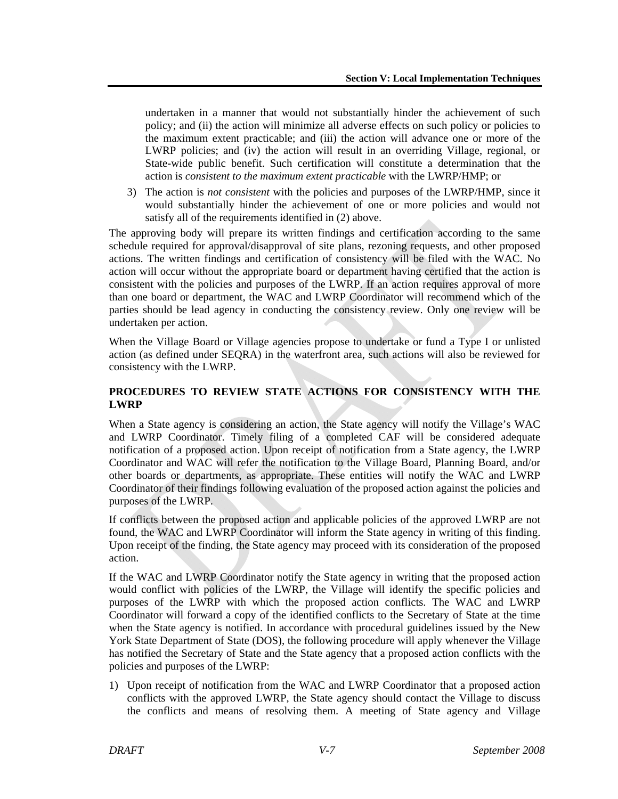undertaken in a manner that would not substantially hinder the achievement of such policy; and (ii) the action will minimize all adverse effects on such policy or policies to the maximum extent practicable; and (iii) the action will advance one or more of the LWRP policies; and (iv) the action will result in an overriding Village, regional, or State-wide public benefit. Such certification will constitute a determination that the action is *consistent to the maximum extent practicable* with the LWRP/HMP; or

3) The action is *not consistent* with the policies and purposes of the LWRP/HMP, since it would substantially hinder the achievement of one or more policies and would not satisfy all of the requirements identified in (2) above.

The approving body will prepare its written findings and certification according to the same schedule required for approval/disapproval of site plans, rezoning requests, and other proposed actions. The written findings and certification of consistency will be filed with the WAC. No action will occur without the appropriate board or department having certified that the action is consistent with the policies and purposes of the LWRP. If an action requires approval of more than one board or department, the WAC and LWRP Coordinator will recommend which of the parties should be lead agency in conducting the consistency review. Only one review will be undertaken per action.

When the Village Board or Village agencies propose to undertake or fund a Type I or unlisted action (as defined under SEQRA) in the waterfront area, such actions will also be reviewed for consistency with the LWRP.

## **PROCEDURES TO REVIEW STATE ACTIONS FOR CONSISTENCY WITH THE LWRP**

When a State agency is considering an action, the State agency will notify the Village's WAC and LWRP Coordinator. Timely filing of a completed CAF will be considered adequate notification of a proposed action. Upon receipt of notification from a State agency, the LWRP Coordinator and WAC will refer the notification to the Village Board, Planning Board, and/or other boards or departments, as appropriate. These entities will notify the WAC and LWRP Coordinator of their findings following evaluation of the proposed action against the policies and purposes of the LWRP.

If conflicts between the proposed action and applicable policies of the approved LWRP are not found, the WAC and LWRP Coordinator will inform the State agency in writing of this finding. Upon receipt of the finding, the State agency may proceed with its consideration of the proposed action.

If the WAC and LWRP Coordinator notify the State agency in writing that the proposed action would conflict with policies of the LWRP, the Village will identify the specific policies and purposes of the LWRP with which the proposed action conflicts. The WAC and LWRP Coordinator will forward a copy of the identified conflicts to the Secretary of State at the time when the State agency is notified. In accordance with procedural guidelines issued by the New York State Department of State (DOS), the following procedure will apply whenever the Village has notified the Secretary of State and the State agency that a proposed action conflicts with the policies and purposes of the LWRP:

1) Upon receipt of notification from the WAC and LWRP Coordinator that a proposed action conflicts with the approved LWRP, the State agency should contact the Village to discuss the conflicts and means of resolving them. A meeting of State agency and Village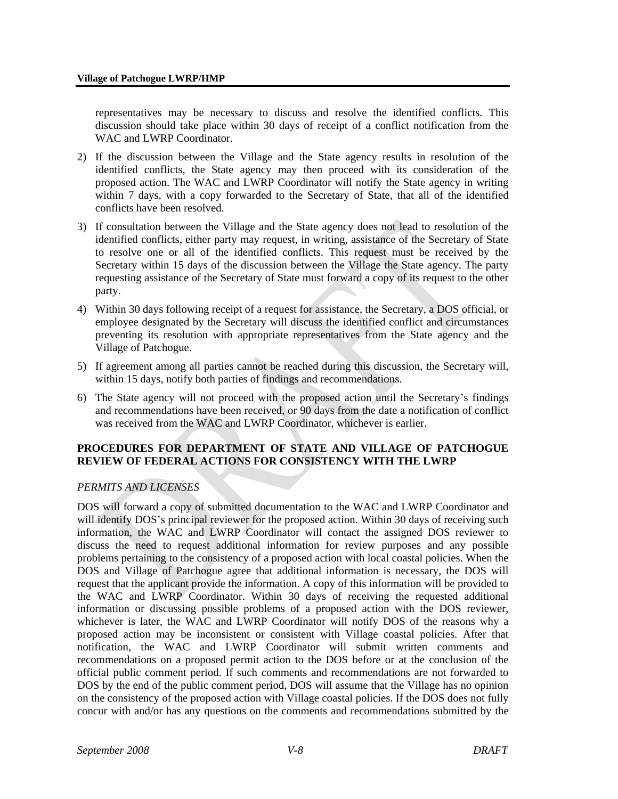representatives may be necessary to discuss and resolve the identified conflicts. This discussion should take place within 30 days of receipt of a conflict notification from the WAC and LWRP Coordinator.

- 2) If the discussion between the Village and the State agency results in resolution of the identified conflicts, the State agency may then proceed with its consideration of the proposed action. The WAC and LWRP Coordinator will notify the State agency in writing within 7 days, with a copy forwarded to the Secretary of State, that all of the identified conflicts have been resolved.
- 3) If consultation between the Village and the State agency does not lead to resolution of the identified conflicts, either party may request, in writing, assistance of the Secretary of State to resolve one or all of the identified conflicts. This request must be received by the Secretary within 15 days of the discussion between the Village the State agency. The party requesting assistance of the Secretary of State must forward a copy of its request to the other party.
- 4) Within 30 days following receipt of a request for assistance, the Secretary, a DOS official, or employee designated by the Secretary will discuss the identified conflict and circumstances preventing its resolution with appropriate representatives from the State agency and the Village of Patchogue.
- 5) If agreement among all parties cannot be reached during this discussion, the Secretary will, within 15 days, notify both parties of findings and recommendations.
- 6) The State agency will not proceed with the proposed action until the Secretary's findings and recommendations have been received, or 90 days from the date a notification of conflict was received from the WAC and LWRP Coordinator, whichever is earlier.

#### **PROCEDURES FOR DEPARTMENT OF STATE AND VILLAGE OF PATCHOGUE REVIEW OF FEDERAL ACTIONS FOR CONSISTENCY WITH THE LWRP**

### *PERMITS AND LICENSES*

DOS will forward a copy of submitted documentation to the WAC and LWRP Coordinator and will identify DOS's principal reviewer for the proposed action. Within 30 days of receiving such information, the WAC and LWRP Coordinator will contact the assigned DOS reviewer to discuss the need to request additional information for review purposes and any possible problems pertaining to the consistency of a proposed action with local coastal policies. When the DOS and Village of Patchogue agree that additional information is necessary, the DOS will request that the applicant provide the information. A copy of this information will be provided to the WAC and LWRP Coordinator. Within 30 days of receiving the requested additional information or discussing possible problems of a proposed action with the DOS reviewer, whichever is later, the WAC and LWRP Coordinator will notify DOS of the reasons why a proposed action may be inconsistent or consistent with Village coastal policies. After that notification, the WAC and LWRP Coordinator will submit written comments and recommendations on a proposed permit action to the DOS before or at the conclusion of the official public comment period. If such comments and recommendations are not forwarded to DOS by the end of the public comment period, DOS will assume that the Village has no opinion on the consistency of the proposed action with Village coastal policies. If the DOS does not fully concur with and/or has any questions on the comments and recommendations submitted by the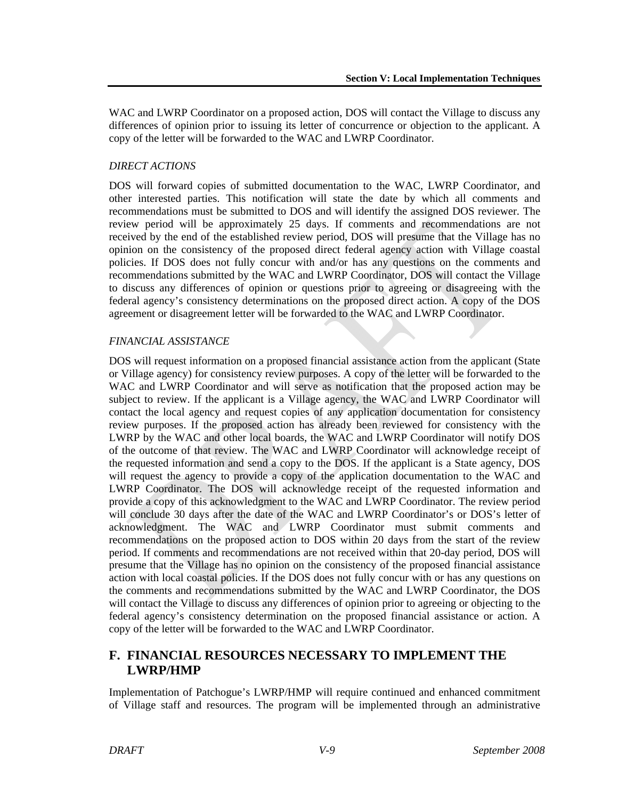WAC and LWRP Coordinator on a proposed action, DOS will contact the Village to discuss any differences of opinion prior to issuing its letter of concurrence or objection to the applicant. A copy of the letter will be forwarded to the WAC and LWRP Coordinator.

## *DIRECT ACTIONS*

DOS will forward copies of submitted documentation to the WAC, LWRP Coordinator, and other interested parties. This notification will state the date by which all comments and recommendations must be submitted to DOS and will identify the assigned DOS reviewer. The review period will be approximately 25 days. If comments and recommendations are not received by the end of the established review period, DOS will presume that the Village has no opinion on the consistency of the proposed direct federal agency action with Village coastal policies. If DOS does not fully concur with and/or has any questions on the comments and recommendations submitted by the WAC and LWRP Coordinator, DOS will contact the Village to discuss any differences of opinion or questions prior to agreeing or disagreeing with the federal agency's consistency determinations on the proposed direct action. A copy of the DOS agreement or disagreement letter will be forwarded to the WAC and LWRP Coordinator.

## *FINANCIAL ASSISTANCE*

DOS will request information on a proposed financial assistance action from the applicant (State or Village agency) for consistency review purposes. A copy of the letter will be forwarded to the WAC and LWRP Coordinator and will serve as notification that the proposed action may be subject to review. If the applicant is a Village agency, the WAC and LWRP Coordinator will contact the local agency and request copies of any application documentation for consistency review purposes. If the proposed action has already been reviewed for consistency with the LWRP by the WAC and other local boards, the WAC and LWRP Coordinator will notify DOS of the outcome of that review. The WAC and LWRP Coordinator will acknowledge receipt of the requested information and send a copy to the DOS. If the applicant is a State agency, DOS will request the agency to provide a copy of the application documentation to the WAC and LWRP Coordinator. The DOS will acknowledge receipt of the requested information and provide a copy of this acknowledgment to the WAC and LWRP Coordinator. The review period will conclude 30 days after the date of the WAC and LWRP Coordinator's or DOS's letter of acknowledgment. The WAC and LWRP Coordinator must submit comments and recommendations on the proposed action to DOS within 20 days from the start of the review period. If comments and recommendations are not received within that 20-day period, DOS will presume that the Village has no opinion on the consistency of the proposed financial assistance action with local coastal policies. If the DOS does not fully concur with or has any questions on the comments and recommendations submitted by the WAC and LWRP Coordinator, the DOS will contact the Village to discuss any differences of opinion prior to agreeing or objecting to the federal agency's consistency determination on the proposed financial assistance or action. A copy of the letter will be forwarded to the WAC and LWRP Coordinator.

# **F. FINANCIAL RESOURCES NECESSARY TO IMPLEMENT THE LWRP/HMP**

Implementation of Patchogue's LWRP/HMP will require continued and enhanced commitment of Village staff and resources. The program will be implemented through an administrative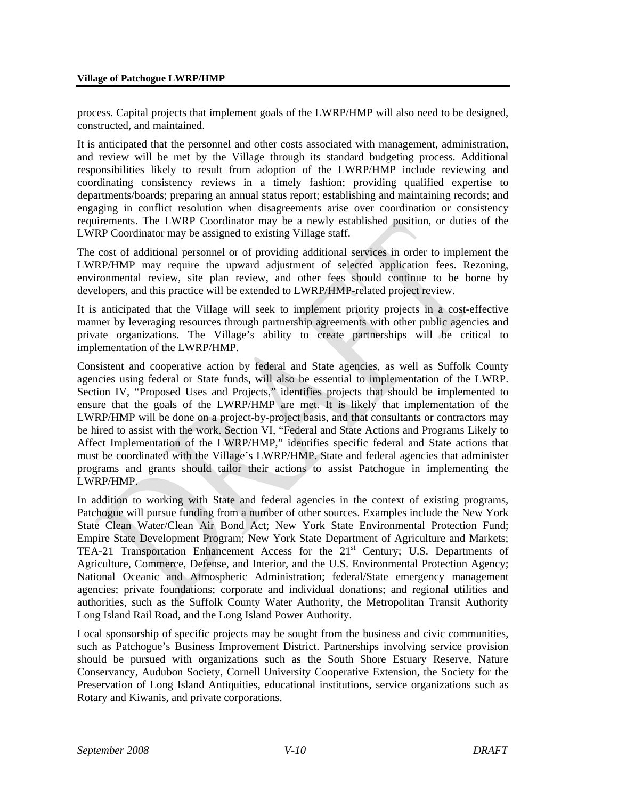process. Capital projects that implement goals of the LWRP/HMP will also need to be designed, constructed, and maintained.

It is anticipated that the personnel and other costs associated with management, administration, and review will be met by the Village through its standard budgeting process. Additional responsibilities likely to result from adoption of the LWRP/HMP include reviewing and coordinating consistency reviews in a timely fashion; providing qualified expertise to departments/boards; preparing an annual status report; establishing and maintaining records; and engaging in conflict resolution when disagreements arise over coordination or consistency requirements. The LWRP Coordinator may be a newly established position, or duties of the LWRP Coordinator may be assigned to existing Village staff.

The cost of additional personnel or of providing additional services in order to implement the LWRP/HMP may require the upward adjustment of selected application fees. Rezoning, environmental review, site plan review, and other fees should continue to be borne by developers, and this practice will be extended to LWRP/HMP-related project review.

It is anticipated that the Village will seek to implement priority projects in a cost-effective manner by leveraging resources through partnership agreements with other public agencies and private organizations. The Village's ability to create partnerships will be critical to implementation of the LWRP/HMP.

Consistent and cooperative action by federal and State agencies, as well as Suffolk County agencies using federal or State funds, will also be essential to implementation of the LWRP. Section IV, "Proposed Uses and Projects," identifies projects that should be implemented to ensure that the goals of the LWRP/HMP are met. It is likely that implementation of the LWRP/HMP will be done on a project-by-project basis, and that consultants or contractors may be hired to assist with the work. Section VI, "Federal and State Actions and Programs Likely to Affect Implementation of the LWRP/HMP," identifies specific federal and State actions that must be coordinated with the Village's LWRP/HMP. State and federal agencies that administer programs and grants should tailor their actions to assist Patchogue in implementing the LWRP/HMP.

In addition to working with State and federal agencies in the context of existing programs, Patchogue will pursue funding from a number of other sources. Examples include the New York State Clean Water/Clean Air Bond Act; New York State Environmental Protection Fund; Empire State Development Program; New York State Department of Agriculture and Markets; TEA-21 Transportation Enhancement Access for the  $21<sup>st</sup>$  Century; U.S. Departments of Agriculture, Commerce, Defense, and Interior, and the U.S. Environmental Protection Agency; National Oceanic and Atmospheric Administration; federal/State emergency management agencies; private foundations; corporate and individual donations; and regional utilities and authorities, such as the Suffolk County Water Authority, the Metropolitan Transit Authority Long Island Rail Road, and the Long Island Power Authority.

Local sponsorship of specific projects may be sought from the business and civic communities, such as Patchogue's Business Improvement District. Partnerships involving service provision should be pursued with organizations such as the South Shore Estuary Reserve, Nature Conservancy, Audubon Society, Cornell University Cooperative Extension, the Society for the Preservation of Long Island Antiquities, educational institutions, service organizations such as Rotary and Kiwanis, and private corporations.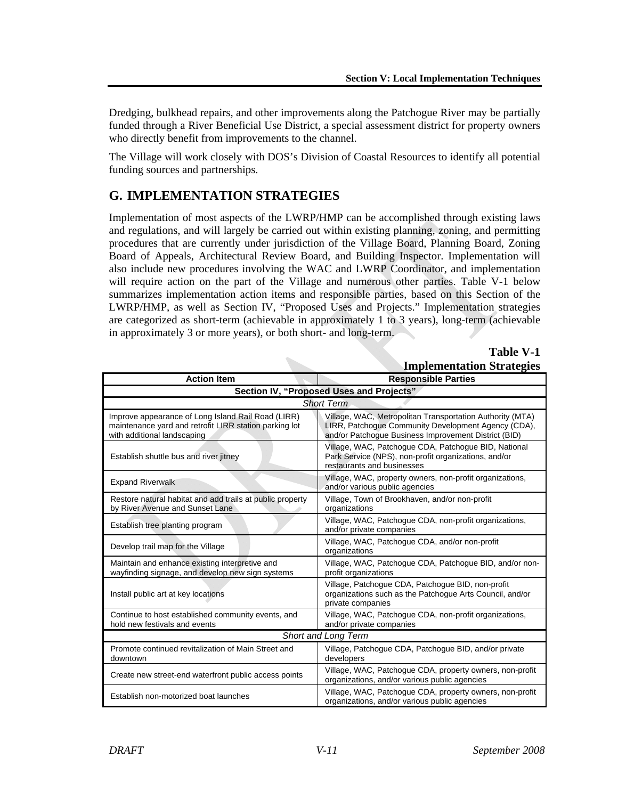Dredging, bulkhead repairs, and other improvements along the Patchogue River may be partially funded through a River Beneficial Use District, a special assessment district for property owners who directly benefit from improvements to the channel.

The Village will work closely with DOS's Division of Coastal Resources to identify all potential funding sources and partnerships.

# **G. IMPLEMENTATION STRATEGIES**

Implementation of most aspects of the LWRP/HMP can be accomplished through existing laws and regulations, and will largely be carried out within existing planning, zoning, and permitting procedures that are currently under jurisdiction of the Village Board, Planning Board, Zoning Board of Appeals, Architectural Review Board, and Building Inspector. Implementation will also include new procedures involving the WAC and LWRP Coordinator, and implementation will require action on the part of the Village and numerous other parties. Table V-1 below summarizes implementation action items and responsible parties, based on this Section of the LWRP/HMP, as well as Section IV, "Proposed Uses and Projects." Implementation strategies are categorized as short-term (achievable in approximately 1 to 3 years), long-term (achievable in approximately 3 or more years), or both short- and long-term.

 $\mathcal{L}_{\mathcal{L}}$ 

**Table V-1 Implementation Strategies**

|                                                                                                                                             | Implementation strategies                                                                                                                                                |  |
|---------------------------------------------------------------------------------------------------------------------------------------------|--------------------------------------------------------------------------------------------------------------------------------------------------------------------------|--|
| <b>Action Item</b>                                                                                                                          | <b>Responsible Parties</b>                                                                                                                                               |  |
| Section IV, "Proposed Uses and Projects"                                                                                                    |                                                                                                                                                                          |  |
| <b>Short Term</b>                                                                                                                           |                                                                                                                                                                          |  |
| Improve appearance of Long Island Rail Road (LIRR)<br>maintenance yard and retrofit LIRR station parking lot<br>with additional landscaping | Village, WAC, Metropolitan Transportation Authority (MTA)<br>LIRR, Patchoque Community Development Agency (CDA),<br>and/or Patchogue Business Improvement District (BID) |  |
| Establish shuttle bus and river jitney                                                                                                      | Village, WAC, Patchogue CDA, Patchogue BID, National<br>Park Service (NPS), non-profit organizations, and/or<br>restaurants and businesses                               |  |
| <b>Expand Riverwalk</b>                                                                                                                     | Village, WAC, property owners, non-profit organizations,<br>and/or various public agencies                                                                               |  |
| Restore natural habitat and add trails at public property<br>by River Avenue and Sunset Lane                                                | Village, Town of Brookhaven, and/or non-profit<br>organizations                                                                                                          |  |
| Establish tree planting program                                                                                                             | Village, WAC, Patchogue CDA, non-profit organizations,<br>and/or private companies                                                                                       |  |
| Develop trail map for the Village                                                                                                           | Village, WAC, Patchogue CDA, and/or non-profit<br>organizations                                                                                                          |  |
| Maintain and enhance existing interpretive and<br>wayfinding signage, and develop new sign systems                                          | Village, WAC, Patchogue CDA, Patchogue BID, and/or non-<br>profit organizations                                                                                          |  |
| Install public art at key locations                                                                                                         | Village, Patchogue CDA, Patchogue BID, non-profit<br>organizations such as the Patchogue Arts Council, and/or<br>private companies                                       |  |
| Continue to host established community events, and<br>hold new festivals and events                                                         | Village, WAC, Patchogue CDA, non-profit organizations,<br>and/or private companies                                                                                       |  |
| <b>Short and Long Term</b>                                                                                                                  |                                                                                                                                                                          |  |
| Promote continued revitalization of Main Street and<br>downtown                                                                             | Village, Patchogue CDA, Patchogue BID, and/or private<br>developers                                                                                                      |  |
| Create new street-end waterfront public access points                                                                                       | Village, WAC, Patchogue CDA, property owners, non-profit<br>organizations, and/or various public agencies                                                                |  |
| Establish non-motorized boat launches                                                                                                       | Village, WAC, Patchogue CDA, property owners, non-profit<br>organizations, and/or various public agencies                                                                |  |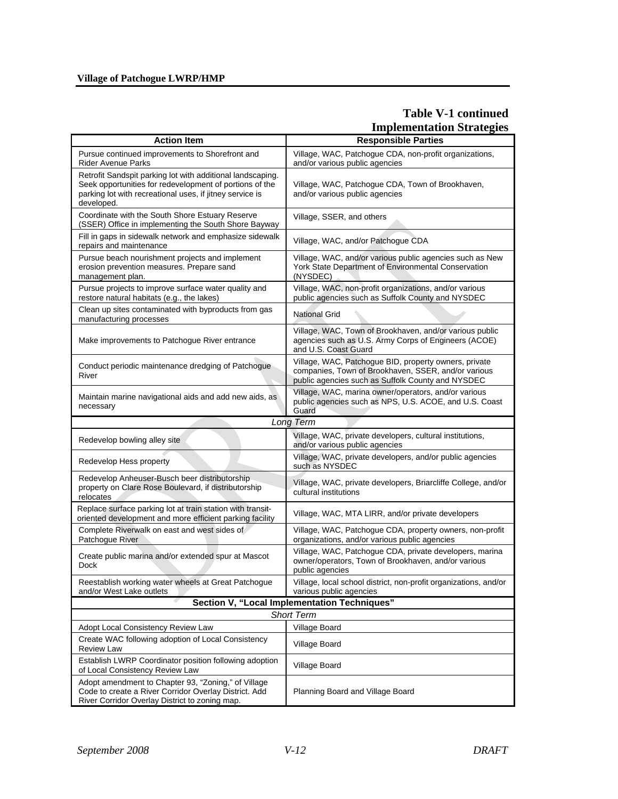## **Village of Patchogue LWRP/HMP**

# **Table V-1 continued Implementation Strategies**

| <b>Action Item</b>                                                                                                                                                                              | <b>Responsible Parties</b>                                                                                                                                        |
|-------------------------------------------------------------------------------------------------------------------------------------------------------------------------------------------------|-------------------------------------------------------------------------------------------------------------------------------------------------------------------|
| Pursue continued improvements to Shorefront and<br><b>Rider Avenue Parks</b>                                                                                                                    | Village, WAC, Patchogue CDA, non-profit organizations,<br>and/or various public agencies                                                                          |
| Retrofit Sandspit parking lot with additional landscaping.<br>Seek opportunities for redevelopment of portions of the<br>parking lot with recreational uses, if jitney service is<br>developed. | Village, WAC, Patchogue CDA, Town of Brookhaven,<br>and/or various public agencies                                                                                |
| Coordinate with the South Shore Estuary Reserve<br>(SSER) Office in implementing the South Shore Bayway                                                                                         | Village, SSER, and others                                                                                                                                         |
| Fill in gaps in sidewalk network and emphasize sidewalk<br>repairs and maintenance                                                                                                              | Village, WAC, and/or Patchogue CDA                                                                                                                                |
| Pursue beach nourishment projects and implement<br>erosion prevention measures. Prepare sand<br>management plan.                                                                                | Village, WAC, and/or various public agencies such as New<br>York State Department of Environmental Conservation<br>(NYSDEC)                                       |
| Pursue projects to improve surface water quality and<br>restore natural habitats (e.g., the lakes)                                                                                              | Village, WAC, non-profit organizations, and/or various<br>public agencies such as Suffolk County and NYSDEC                                                       |
| Clean up sites contaminated with byproducts from gas<br>manufacturing processes                                                                                                                 | <b>National Grid</b>                                                                                                                                              |
| Make improvements to Patchogue River entrance                                                                                                                                                   | Village, WAC, Town of Brookhaven, and/or various public<br>agencies such as U.S. Army Corps of Engineers (ACOE)<br>and U.S. Coast Guard                           |
| Conduct periodic maintenance dredging of Patchogue<br>River                                                                                                                                     | Village, WAC, Patchogue BID, property owners, private<br>companies, Town of Brookhaven, SSER, and/or various<br>public agencies such as Suffolk County and NYSDEC |
| Maintain marine navigational aids and add new aids, as<br>necessary                                                                                                                             | Village, WAC, marina owner/operators, and/or various<br>public agencies such as NPS, U.S. ACOE, and U.S. Coast<br>Guard                                           |
|                                                                                                                                                                                                 | <b>Long Term</b>                                                                                                                                                  |
| Redevelop bowling alley site                                                                                                                                                                    | Village, WAC, private developers, cultural institutions,<br>and/or various public agencies                                                                        |
| Redevelop Hess property                                                                                                                                                                         | Village, WAC, private developers, and/or public agencies<br>such as NYSDEC                                                                                        |
| Redevelop Anheuser-Busch beer distributorship<br>property on Clare Rose Boulevard, if distributorship<br>relocates                                                                              | Village, WAC, private developers, Briarcliffe College, and/or<br>cultural institutions                                                                            |
| Replace surface parking lot at train station with transit-<br>oriented development and more efficient parking facility                                                                          | Village, WAC, MTA LIRR, and/or private developers                                                                                                                 |
| Complete Riverwalk on east and west sides of<br>Patchogue River                                                                                                                                 | Village, WAC, Patchogue CDA, property owners, non-profit<br>organizations, and/or various public agencies                                                         |
| Create public marina and/or extended spur at Mascot<br><b>Dock</b>                                                                                                                              | Village, WAC, Patchoque CDA, private developers, marina<br>owner/operators, Town of Brookhaven, and/or various<br>public agencies                                 |
| Reestablish working water wheels at Great Patchogue<br>and/or West Lake outlets                                                                                                                 | Village, local school district, non-profit organizations, and/or<br>various public agencies                                                                       |
|                                                                                                                                                                                                 | Section V, "Local Implementation Techniques"                                                                                                                      |
|                                                                                                                                                                                                 | Short Term                                                                                                                                                        |
| Adopt Local Consistency Review Law                                                                                                                                                              | Village Board                                                                                                                                                     |
| Create WAC following adoption of Local Consistency<br><b>Review Law</b>                                                                                                                         | Village Board                                                                                                                                                     |
| Establish LWRP Coordinator position following adoption<br>of Local Consistency Review Law                                                                                                       | Village Board                                                                                                                                                     |
| Adopt amendment to Chapter 93, "Zoning," of Village<br>Code to create a River Corridor Overlay District. Add<br>River Corridor Overlay District to zoning map.                                  | Planning Board and Village Board                                                                                                                                  |